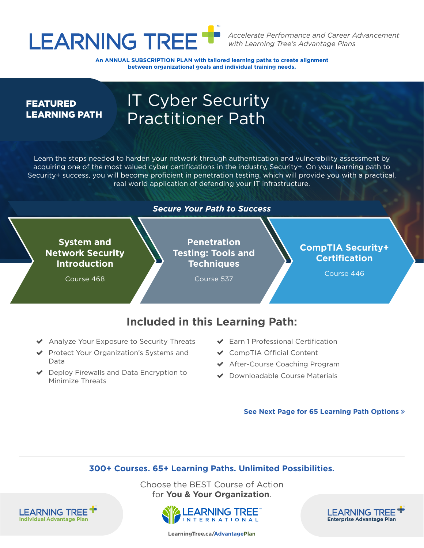

*Accelerate Performance and Career Advancement with Learning Tree's Advantage Plans*

An ANNUAL SUBSCRIPTION PLAN with tailored learning paths to create alignment **between organizational goals and individual training needs.**

#### **FEATURED** LEARNING PATH

### IT Cyber Security Practitioner Path

Learn the steps needed to harden your network through authentication and vulnerability assessment by acquiring one of the most valued cyber certifications in the industry, Security+. On your learning path to Security+ success, you will become proficient in penetration testing, which will provide you with a practical, real world application of defending your IT infrastructure.



#### **Included in this Learning Path:**

- ◆ Analyze Your Exposure to Security Threats
- ◆ Protect Your Organization's Systems and Data
- $\vee$  Deploy Firewalls and Data Encryption to Minimize Threats

**LEARNING TREE** 

- $\blacktriangleright$  Earn 1 Professional Certification
- ◆ CompTIA Official Content
- ◆ After-Course Coaching Program
- ◆ Downloadable Course Materials

**See Next Page for 65 Learning Path Options** 

#### **300+ Courses. 65+ Learning Paths. Unlimited Possibilities.**

Choose the BEST Course of Action for **You & Your Organization**.





**[LearningTree.ca/Advantage](http://LearningTree.ca/AdvantagePlan)Plan**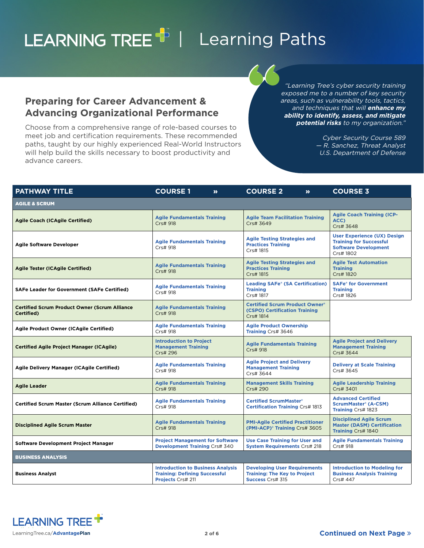### <span id="page-1-0"></span>LEARNING TREE<sup>T</sup> | Learning Paths

**Preparing for Career Advancement & Advancing Organizational Performance**

advance careers.

Choose from a comprehensive range of role-based courses to meet job and certification requirements. These recommended paths, taught by our highly experienced Real-World Instructors will help build the skills necessary to boost productivity and

#### "Learning Tree's cyber security training exposed me to a number of key security areas, such as vulnerability tools, tactics, and techniques that will **enhance my ability to identify, assess, and mitigate potential risks** to my organization."

Cyber Security Course 589 — R. Sanchez, Threat Analyst U.S. Department of Defense

| <b>PATHWAY TITLE</b>                                               | <b>COURSE1</b><br>$\boldsymbol{\Sigma}$                                                               | <b>COURSE 2</b><br>$\boldsymbol{\Sigma}$                                                              | <b>COURSE 3</b>                                                                                                  |
|--------------------------------------------------------------------|-------------------------------------------------------------------------------------------------------|-------------------------------------------------------------------------------------------------------|------------------------------------------------------------------------------------------------------------------|
| <b>AGILE &amp; SCRUM</b>                                           |                                                                                                       |                                                                                                       |                                                                                                                  |
| <b>Agile Coach (ICAgile Certified)</b>                             | <b>Agile Fundamentals Training</b><br>Crs# 918                                                        | <b>Agile Team Facilitation Training</b><br>Crs# 3649                                                  | <b>Agile Coach Training (ICP-</b><br>ACC)<br>Crs# 3648                                                           |
| <b>Agile Software Developer</b>                                    | <b>Agile Fundamentals Training</b><br>Crs# 918                                                        | <b>Agile Testing Strategies and</b><br><b>Practices Training</b><br>Crs# 1815                         | <b>User Experience (UX) Design</b><br><b>Training for Successful</b><br><b>Software Development</b><br>Crs# 1802 |
| <b>Agile Tester (ICAgile Certified)</b>                            | <b>Agile Fundamentals Training</b><br>Crs# 918                                                        | <b>Agile Testing Strategies and</b><br><b>Practices Training</b><br>Crs# 1815                         | <b>Agile Test Automation</b><br><b>Training</b><br>Crs# 1820                                                     |
| <b>SAFe Leader for Government (SAFe Certified)</b>                 | <b>Agile Fundamentals Training</b><br>Crs# 918                                                        | <b>Leading SAFe® (SA Certification)</b><br><b>Training</b><br>Crs# 1817                               | <b>SAFe<sup>®</sup></b> for Government<br><b>Training</b><br>Crs# 1826                                           |
| <b>Certified Scrum Product Owner (Scrum Alliance</b><br>Certified) | <b>Agile Fundamentals Training</b><br>Crs# 918                                                        | <b>Certified Scrum Product Owner®</b><br>(CSPO) Certification Training<br>Crs# 1814                   |                                                                                                                  |
| Agile Product Owner (ICAgile Certified)                            | <b>Agile Fundamentals Training</b><br>Crs# 918                                                        | <b>Agile Product Ownership</b><br>Training Crs# 3646                                                  |                                                                                                                  |
| <b>Certified Agile Project Manager (ICAgile)</b>                   | <b>Introduction to Project</b><br><b>Management Training</b><br>Crs# 296                              | <b>Agile Fundamentals Training</b><br>Crs# 918                                                        | <b>Agile Project and Delivery</b><br><b>Management Training</b><br>Crs# 3644                                     |
| Agile Delivery Manager (ICAgile Certified)                         | <b>Agile Fundamentals Training</b><br>Crs# 918                                                        | <b>Agile Project and Delivery</b><br><b>Management Training</b><br>Crs# 3644                          | <b>Delivery at Scale Training</b><br>Crs# 3645                                                                   |
| <b>Agile Leader</b>                                                | <b>Agile Fundamentals Training</b><br>Crs# 918                                                        | <b>Management Skills Training</b><br>Crs# 290                                                         | <b>Agile Leadership Training</b><br>Crs# 3401                                                                    |
| <b>Certified Scrum Master (Scrum Alliance Certified)</b>           | <b>Agile Fundamentals Training</b><br>Crs# 918                                                        | <b>Certified ScrumMaster®</b><br><b>Certification Training Crs# 1813</b>                              | <b>Advanced Certified</b><br><b>ScrumMaster® (A-CSM)</b><br>Training Crs# 1823                                   |
| <b>Disciplined Agile Scrum Master</b>                              | <b>Agile Fundamentals Training</b><br>Crs# 918                                                        | <b>PMI-Agile Certified Practitioner</b><br>(PMI-ACP) <sup>®</sup> Training Crs# 3605                  | <b>Disciplined Agile Scrum</b><br><b>Master (DASM) Certification</b><br>Training Crs# 1840                       |
| Software Development Project Manager                               | <b>Project Management for Software</b><br><b>Development Training Crs# 340</b>                        | <b>Use Case Training for User and</b><br><b>System Requirements Crs# 218</b>                          | <b>Agile Fundamentals Training</b><br>Crs# 918                                                                   |
| <b>BUSINESS ANALYSIS</b>                                           |                                                                                                       |                                                                                                       |                                                                                                                  |
| <b>Business Analyst</b>                                            | <b>Introduction to Business Analysis</b><br><b>Training: Defining Successful</b><br>Projects Crs# 211 | <b>Developing User Requirements</b><br><b>Training: The Key to Project</b><br><b>Success Crs# 315</b> | <b>Introduction to Modeling for</b><br><b>Business Analysis Training</b><br>Crs# 447                             |

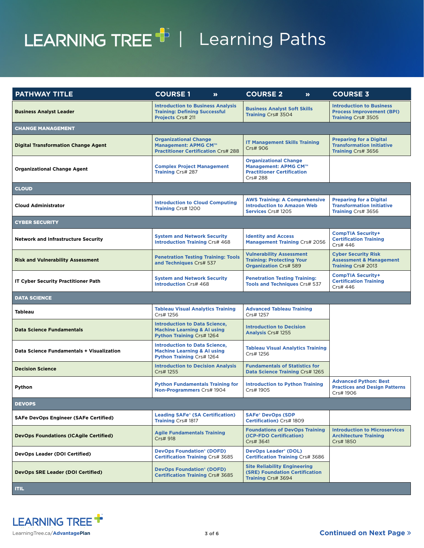## <span id="page-2-0"></span>LEARNING TREE<sup>+</sup> | Learning Paths

| <b>PATHWAY TITLE</b>                          | <b>COURSE1</b><br>$\boldsymbol{\Sigma}$                                                                            | <b>COURSE 2</b><br>$\boldsymbol{\Sigma}$                                                              | <b>COURSE 3</b>                                                                           |
|-----------------------------------------------|--------------------------------------------------------------------------------------------------------------------|-------------------------------------------------------------------------------------------------------|-------------------------------------------------------------------------------------------|
| <b>Business Analyst Leader</b>                | <b>Introduction to Business Analysis</b><br><b>Training: Defining Successful</b><br>Projects Crs# 211              | <b>Business Analyst Soft Skills</b><br>Training Crs# 3504                                             | <b>Introduction to Business</b><br><b>Process Improvement (BPI)</b><br>Training Crs# 3505 |
| <b>CHANGE MANAGEMENT</b>                      |                                                                                                                    |                                                                                                       |                                                                                           |
| <b>Digital Transformation Change Agent</b>    | <b>Organizational Change</b><br>Management: APMG CM™<br><b>Practitioner Certification Crs# 288</b>                 | <b>IT Management Skills Training</b><br>Crs# 906                                                      | <b>Preparing for a Digital</b><br><b>Transformation Initiative</b><br>Training Crs# 3656  |
| <b>Organizational Change Agent</b>            | <b>Complex Project Management</b><br>Training Crs# 287                                                             | <b>Organizational Change</b><br>Management: APMG CM™<br><b>Practitioner Certification</b><br>Crs# 288 |                                                                                           |
| <b>CLOUD</b>                                  |                                                                                                                    |                                                                                                       |                                                                                           |
| <b>Cloud Administrator</b>                    | <b>Introduction to Cloud Computing</b><br>Training Crs# 1200                                                       | <b>AWS Training: A Comprehensive</b><br><b>Introduction to Amazon Web</b><br>Services Crs# 1205       | <b>Preparing for a Digital</b><br><b>Transformation Initiative</b><br>Training Crs# 3656  |
| <b>CYBER SECURITY</b>                         |                                                                                                                    |                                                                                                       |                                                                                           |
| <b>Network and Infrastructure Security</b>    | <b>System and Network Security</b><br><b>Introduction Training Crs# 468</b>                                        | <b>Identity and Access</b><br><b>Management Training Crs# 2056</b>                                    | <b>CompTIA Security+</b><br><b>Certification Training</b><br>Crs# 446                     |
| <b>Risk and Vulnerability Assessment</b>      | <b>Penetration Testing Training: Tools</b><br>and Techniques Crs# 537                                              | <b>Vulnerability Assessment</b><br><b>Training: Protecting Your</b><br><b>Organization Crs# 589</b>   | <b>Cyber Security Risk</b><br><b>Assessment &amp; Management</b><br>Training Crs# 2013    |
| <b>IT Cyber Security Practitioner Path</b>    | <b>System and Network Security</b><br><b>Introduction Crs# 468</b>                                                 | <b>Penetration Testing Training:</b><br><b>Tools and Techniques Crs# 537</b>                          | <b>CompTIA Security+</b><br><b>Certification Training</b><br>Crs# 446                     |
| <b>DATA SCIENCE</b>                           |                                                                                                                    |                                                                                                       |                                                                                           |
| <b>Tableau</b>                                | <b>Tableau Visual Analytics Training</b><br>Crs# 1256                                                              | <b>Advanced Tableau Training</b><br>Crs# 1257                                                         |                                                                                           |
| <b>Data Science Fundamentals</b>              | <b>Introduction to Data Science,</b><br><b>Machine Learning &amp; AI using</b><br><b>Python Training Crs# 1264</b> | <b>Introduction to Decision</b><br><b>Analysis Crs# 1255</b>                                          |                                                                                           |
| Data Science Fundamentals + Visualization     | <b>Introduction to Data Science,</b><br><b>Machine Learning &amp; AI using</b><br><b>Python Training Crs# 1264</b> | <b>Tableau Visual Analytics Training</b><br>Crs# 1256                                                 |                                                                                           |
| <b>Decision Science</b>                       | <b>Introduction to Decision Analysis</b><br>Crs# 1255                                                              | <b>Fundamentals of Statistics for</b><br>Data Science Training Crs# 1265                              |                                                                                           |
| Python                                        | <b>Python Fundamentals Training for</b><br>Non-Programmers Crs# 1904                                               | <b>Introduction to Python Training</b><br>Crs# 1905                                                   | <b>Advanced Python: Best</b><br><b>Practices and Design Patterns</b><br>Crs# 1906         |
| <b>DEVOPS</b>                                 |                                                                                                                    |                                                                                                       |                                                                                           |
| <b>SAFe DevOps Engineer (SAFe Certified)</b>  | <b>Leading SAFe® (SA Certification)</b><br>Training Crs# 1817                                                      | <b>SAFe<sup>®</sup> DevOps (SDP</b><br><b>Certification</b> ) Crs# 1809                               |                                                                                           |
| <b>DevOps Foundations (ICAgile Certified)</b> | <b>Agile Fundamentals Training</b><br>Crs# 918                                                                     | <b>Foundations of DevOps Training</b><br>(ICP-FDO Certification)<br>Crs# 3641                         | <b>Introduction to Microservices</b><br><b>Architecture Training</b><br>Crs# 1850         |
| <b>DevOps Leader (DOI Certified)</b>          | <b>DevOps Foundation® (DOFD)</b><br><b>Certification Training Crs# 3685</b>                                        | <b>DevOps Leader® (DOL)</b><br><b>Certification Training Crs# 3686</b>                                |                                                                                           |
| <b>DevOps SRE Leader (DOI Certified)</b>      | <b>DevOps Foundation® (DOFD)</b><br><b>Certification Training Crs# 3685</b>                                        | <b>Site Reliability Engineering</b><br><b>(SRE) Foundation Certification</b><br>Training Crs# 3694    |                                                                                           |
| <b>ITIL</b>                                   |                                                                                                                    |                                                                                                       |                                                                                           |

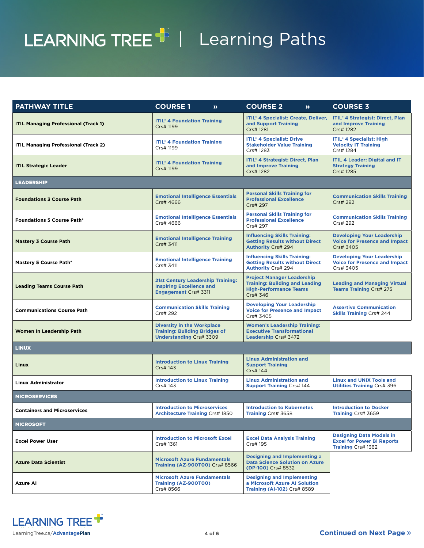# <span id="page-3-0"></span>LEARNING TREE<sup>T</sup> | Learning Paths

| <b>PATHWAY TITLE</b>                        | <b>COURSE 1</b><br>$\boldsymbol{\lambda}$                                                                   | <b>COURSE 2</b><br>$\boldsymbol{\Sigma}$                                                                                | <b>COURSE 3</b>                                                                            |
|---------------------------------------------|-------------------------------------------------------------------------------------------------------------|-------------------------------------------------------------------------------------------------------------------------|--------------------------------------------------------------------------------------------|
| <b>ITIL Managing Professional (Track 1)</b> | <b>ITIL<sup>®</sup> 4 Foundation Training</b><br>Crs# 1199                                                  | <b>ITIL® 4 Specialist: Create, Deliver,</b><br>and Support Training<br>Crs# 1281                                        | <b>ITIL<sup>®</sup> 4 Strategist: Direct, Plan</b><br>and Improve Training<br>Crs# 1282    |
| <b>ITIL Managing Professional (Track 2)</b> | <b>ITIL® 4 Foundation Training</b><br>Crs# 1199                                                             | <b>ITIL<sup>®</sup> 4 Specialist: Drive</b><br><b>Stakeholder Value Training</b><br>Crs# 1283                           | <b>ITIL<sup>®</sup> 4 Specialist: High</b><br><b>Velocity IT Training</b><br>Crs# 1284     |
| <b>ITIL Strategic Leader</b>                | <b>ITIL<sup>®</sup> 4 Foundation Training</b><br>Crs# 1199                                                  | <b>ITIL<sup>®</sup> 4 Strategist: Direct, Plan</b><br>and Improve Training<br>Crs# 1282                                 | <b>ITIL 4 Leader: Digital and IT</b><br><b>Strategy Training</b><br>Crs# 1285              |
| <b>LEADERSHIP</b>                           |                                                                                                             |                                                                                                                         |                                                                                            |
| <b>Foundations 3 Course Path</b>            | <b>Emotional Intelligence Essentials</b><br>Crs# 4666                                                       | <b>Personal Skills Training for</b><br><b>Professional Excellence</b><br>Crs# 297                                       | <b>Communication Skills Training</b><br>Crs# 292                                           |
| <b>Foundations 5 Course Path*</b>           | <b>Emotional Intelligence Essentials</b><br>Crs# 4666                                                       | <b>Personal Skills Training for</b><br><b>Professional Excellence</b><br>Crs# 297                                       | <b>Communication Skills Training</b><br>Crs# 292                                           |
| <b>Mastery 3 Course Path</b>                | <b>Emotional Intelligence Training</b><br>Crs# 3411                                                         | <b>Influencing Skills Training:</b><br><b>Getting Results without Direct</b><br><b>Authority Crs# 294</b>               | <b>Developing Your Leadership</b><br><b>Voice for Presence and Impact</b><br>Crs# 3405     |
| Mastery 5 Course Path*                      | <b>Emotional Intelligence Training</b><br>Crs# 3411                                                         | <b>Influencing Skills Training:</b><br><b>Getting Results without Direct</b><br><b>Authority Crs# 294</b>               | <b>Developing Your Leadership</b><br><b>Voice for Presence and Impact</b><br>Crs# 3405     |
| <b>Leading Teams Course Path</b>            | <b>21st Century Leadership Training:</b><br><b>Inspiring Excellence and</b><br><b>Engagement Crs# 3311</b>  | <b>Project Manager Leadership</b><br><b>Training: Building and Leading</b><br><b>High-Performance Teams</b><br>Crs# 346 | <b>Leading and Managing Virtual</b><br><b>Teams Training Crs# 275</b>                      |
| <b>Communications Course Path</b>           | <b>Communication Skills Training</b><br>Crs# 292                                                            | <b>Developing Your Leadership</b><br><b>Voice for Presence and Impact</b><br>Crs# 3405                                  | <b>Assertive Communication</b><br><b>Skills Training Crs# 244</b>                          |
| Women In Leadership Path                    | <b>Diversity in the Workplace</b><br><b>Training: Building Bridges of</b><br><b>Understanding Crs# 3309</b> | <b>Women's Leadership Training:</b><br><b>Executive Transformational</b><br>Leadership Crs# 3472                        |                                                                                            |
| <b>LINUX</b>                                |                                                                                                             |                                                                                                                         |                                                                                            |
| Linux                                       | <b>Introduction to Linux Training</b><br>Crs# 143                                                           | <b>Linux Administration and</b><br><b>Support Training</b><br>Crs# 144                                                  |                                                                                            |
| <b>Linux Administrator</b>                  | <b>Introduction to Linux Training</b><br>Crs# 143                                                           | <b>Linux Administration and</b><br><b>Support Training Crs# 144</b>                                                     | <b>Linux and UNIX Tools and</b><br><b>Utilities Training Crs# 396</b>                      |
| <b>MICROSERVICES</b>                        |                                                                                                             |                                                                                                                         |                                                                                            |
| <b>Containers and Microservices</b>         | <b>Introduction to Microservices</b><br><b>Architecture Training Crs# 1850</b>                              | <b>Introduction to Kubernetes</b><br>Training Crs# 3658                                                                 | <b>Introduction to Docker</b><br>Training Crs# 3659                                        |
| <b>MICROSOFT</b>                            |                                                                                                             |                                                                                                                         |                                                                                            |
| <b>Excel Power User</b>                     | <b>Introduction to Microsoft Excel</b><br>Crs# 1361                                                         | <b>Excel Data Analysis Training</b><br>Crs# 195                                                                         | <b>Designing Data Models in</b><br><b>Excel for Power BI Reports</b><br>Training Crs# 1362 |
| <b>Azure Data Scientist</b>                 | <b>Microsoft Azure Fundamentals</b><br>Training (AZ-900T00) Crs# 8566                                       | <b>Designing and Implementing a</b><br><b>Data Science Solution on Azure</b><br>(DP-100) Crs# 8532                      |                                                                                            |
| Azure Al                                    | <b>Microsoft Azure Fundamentals</b><br>Training (AZ-900T00)<br>Crs# 8566                                    | <b>Designing and Implementing</b><br>a Microsoft Azure AI Solution<br>Training (AI-102) Crs# 8589                       |                                                                                            |

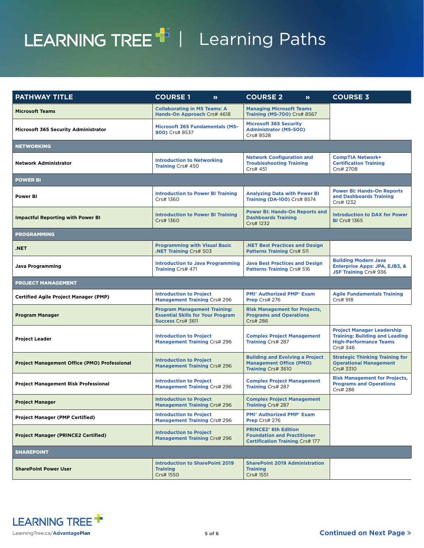## <span id="page-4-0"></span>LEARNING TREE<sup>+</sup> | Learning Paths

| <b>PATHWAY TITLE</b>                                | <b>COURSE1</b><br>$\boldsymbol{\Sigma}$                                                                     | <b>COURSE 2</b><br>$\boldsymbol{\Sigma}$                                                                               | <b>COURSE 3</b>                                                                                                         |
|-----------------------------------------------------|-------------------------------------------------------------------------------------------------------------|------------------------------------------------------------------------------------------------------------------------|-------------------------------------------------------------------------------------------------------------------------|
| <b>Microsoft Teams</b>                              | <b>Collaborating in MS Teams: A</b><br>Hands-On Approach Crs# 4618                                          | <b>Managing Microsoft Teams</b><br><b>Training (MS-700) Crs# 8567</b>                                                  |                                                                                                                         |
| <b>Microsoft 365 Security Administrator</b>         | <b>Microsoft 365 Fundamentals (MS-</b><br>900) Crs# 8537                                                    | <b>Microsoft 365 Security</b><br><b>Administrator (MS-500)</b><br>Crs# 8528                                            |                                                                                                                         |
| <b>NETWORKING</b>                                   |                                                                                                             |                                                                                                                        |                                                                                                                         |
| <b>Network Administrator</b>                        | <b>Introduction to Networking</b><br>Training Crs# 450                                                      | <b>Network Configuration and</b><br><b>Troubleshooting Training</b><br>Crs# 451                                        | <b>CompTIA Network+</b><br><b>Certification Training</b><br>Crs# 2708                                                   |
| <b>POWER BI</b>                                     |                                                                                                             |                                                                                                                        |                                                                                                                         |
| Power BI                                            | <b>Introduction to Power BI Training</b><br>Crs# 1360                                                       | <b>Analyzing Data with Power BI</b><br>Training (DA-100) Crs# 8574                                                     | <b>Power BI: Hands-On Reports</b><br>and Dashboards Training<br>Crs# 1232                                               |
| <b>Impactful Reporting with Power BI</b>            | <b>Introduction to Power BI Training</b><br>Crs# 1360                                                       | <b>Power BI: Hands-On Reports and</b><br><b>Dashboards Training</b><br>Crs# 1232                                       | <b>Introduction to DAX for Power</b><br><b>BI</b> Crs# 1365                                                             |
| <b>PROGRAMMING</b>                                  |                                                                                                             |                                                                                                                        |                                                                                                                         |
| .NET                                                | <b>Programming with Visual Basic</b><br><b>NET Training Crs# 503</b>                                        | <b>NET Best Practices and Design</b><br>Patterns Training Crs# 511                                                     |                                                                                                                         |
| <b>Java Programming</b>                             | <b>Introduction to Java Programming</b><br>Training Crs# 471                                                | <b>Java Best Practices and Design</b><br>Patterns Training Crs# 516                                                    | <b>Building Modern Java</b><br><b>Enterprise Apps: JPA, EJB3, &amp;</b><br><b>JSF Training Crs# 936</b>                 |
| <b>PROJECT MANAGEMENT</b>                           |                                                                                                             |                                                                                                                        |                                                                                                                         |
| <b>Certified Agile Project Manager (PMP)</b>        | <b>Introduction to Project</b><br><b>Management Training Crs# 296</b>                                       | <b>PMI<sup>®</sup> Authorized PMP<sup>®</sup> Exam</b><br>Prep Crs# 276                                                | <b>Agile Fundamentals Training</b><br>Crs# 918                                                                          |
| <b>Program Manager</b>                              | <b>Program Management Training:</b><br><b>Essential Skills for Your Program</b><br><b>Success Crs# 3611</b> | <b>Risk Management for Projects,</b><br><b>Programs and Operations</b><br>Crs# 286                                     |                                                                                                                         |
| <b>Project Leader</b>                               | <b>Introduction to Project</b><br>Management Training Crs# 296                                              | <b>Complex Project Management</b><br>Training Crs# 287                                                                 | <b>Project Manager Leadership</b><br><b>Training: Building and Leading</b><br><b>High-Performance Teams</b><br>Crs# 346 |
| <b>Project Management Office (PMO) Professional</b> | <b>Introduction to Project</b><br><b>Management Training Crs# 296</b>                                       | <b>Building and Evolving a Project</b><br><b>Management Office (PMO)</b><br>Training Crs# 3610                         | <b>Strategic Thinking Training for</b><br><b>Operational Management</b><br>Crs# 3310                                    |
| <b>Project Management Risk Professional</b>         | <b>Introduction to Project</b><br><b>Management Training Crs# 296</b>                                       | <b>Complex Project Management</b><br>Training Crs# 287                                                                 | <b>Risk Management for Projects,</b><br><b>Programs and Operations</b><br>Crs# 286                                      |
| <b>Project Manager</b>                              | <b>Introduction to Project</b><br><b>Management Training Crs# 296</b>                                       | <b>Complex Project Management</b><br><b>Training Crs# 287</b>                                                          |                                                                                                                         |
| <b>Project Manager (PMP Certified)</b>              | <b>Introduction to Project</b><br><b>Management Training Crs# 296</b>                                       | <b>PMI</b> * Authorized PMP <sup>*</sup> Exam<br>Prep Crs# 276                                                         |                                                                                                                         |
| <b>Project Manager (PRINCE2 Certified)</b>          | <b>Introduction to Project</b><br><b>Management Training Crs# 296</b>                                       | <b>PRINCE2<sup>®</sup></b> 6th Edition<br><b>Foundation and Practitioner</b><br><b>Certification Training Crs# 177</b> |                                                                                                                         |
| <b>SHAREPOINT</b>                                   |                                                                                                             |                                                                                                                        |                                                                                                                         |
| <b>SharePoint Power User</b>                        | <b>Introduction to SharePoint 2019</b><br><b>Training</b><br>Crs# 1550                                      | <b>SharePoint 2019 Administration</b><br><b>Training</b><br>Crs# 1551                                                  |                                                                                                                         |